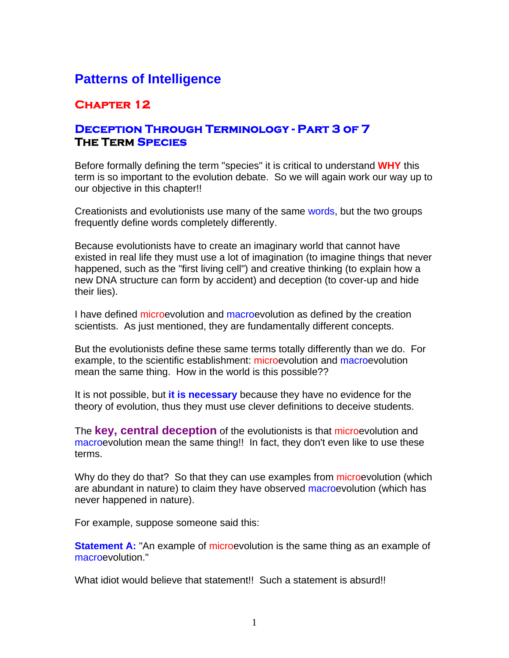# **Patterns of Intelligence**

# **Chapter 12**

## **Deception Through Terminology - Part 3 of 7 The Term Species**

Before formally defining the term "species" it is critical to understand **WHY** this term is so important to the evolution debate. So we will again work our way up to our objective in this chapter!!

Creationists and evolutionists use many of the same words, but the two groups frequently define words completely differently.

Because evolutionists have to create an imaginary world that cannot have existed in real life they must use a lot of imagination (to imagine things that never happened, such as the "first living cell") and creative thinking (to explain how a new DNA structure can form by accident) and deception (to cover-up and hide their lies).

I have defined microevolution and macroevolution as defined by the creation scientists. As just mentioned, they are fundamentally different concepts.

But the evolutionists define these same terms totally differently than we do. For example, to the scientific establishment: microevolution and macroevolution mean the same thing. How in the world is this possible??

It is not possible, but **it is necessary** because they have no evidence for the theory of evolution, thus they must use clever definitions to deceive students.

The **key, central deception** of the evolutionists is that microevolution and macroevolution mean the same thing!! In fact, they don't even like to use these terms.

Why do they do that? So that they can use examples from microevolution (which are abundant in nature) to claim they have observed macroevolution (which has never happened in nature).

For example, suppose someone said this:

**Statement A:** "An example of microevolution is the same thing as an example of macroevolution."

What idiot would believe that statement!! Such a statement is absurd!!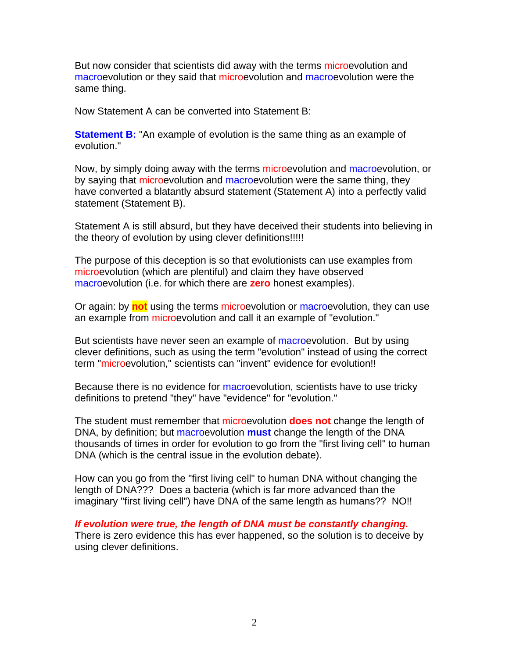But now consider that scientists did away with the terms microevolution and macroevolution or they said that microevolution and macroevolution were the same thing.

Now Statement A can be converted into Statement B:

**Statement B:** "An example of evolution is the same thing as an example of evolution."

Now, by simply doing away with the terms microevolution and macroevolution, or by saying that microevolution and macroevolution were the same thing, they have converted a blatantly absurd statement (Statement A) into a perfectly valid statement (Statement B).

Statement A is still absurd, but they have deceived their students into believing in the theory of evolution by using clever definitions!!!!!

The purpose of this deception is so that evolutionists can use examples from microevolution (which are plentiful) and claim they have observed macroevolution (i.e. for which there are **zero** honest examples).

Or again: by **not** using the terms microevolution or macroevolution, they can use an example from microevolution and call it an example of "evolution."

But scientists have never seen an example of macroevolution. But by using clever definitions, such as using the term "evolution" instead of using the correct term "microevolution," scientists can "invent" evidence for evolution!!

Because there is no evidence for macroevolution, scientists have to use tricky definitions to pretend "they" have "evidence" for "evolution."

The student must remember that microevolution **does not** change the length of DNA, by definition; but macroevolution **must** change the length of the DNA thousands of times in order for evolution to go from the "first living cell" to human DNA (which is the central issue in the evolution debate).

How can you go from the "first living cell" to human DNA without changing the length of DNA??? Does a bacteria (which is far more advanced than the imaginary "first living cell") have DNA of the same length as humans?? NO!!

*If evolution were true, the length of DNA must be constantly changing.* There is zero evidence this has ever happened, so the solution is to deceive by using clever definitions.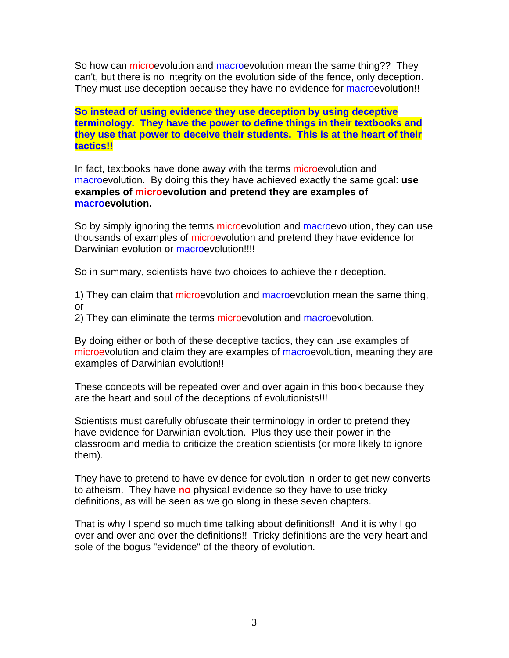So how can microevolution and macroevolution mean the same thing?? They can't, but there is no integrity on the evolution side of the fence, only deception. They must use deception because they have no evidence for macroevolution!!

**So instead of using evidence they use deception by using deceptive terminology. They have the power to define things in their textbooks and they use that power to deceive their students. This is at the heart of their tactics!!**

In fact, textbooks have done away with the terms microevolution and macroevolution. By doing this they have achieved exactly the same goal: **use examples of microevolution and pretend they are examples of macroevolution.**

So by simply ignoring the terms microevolution and macroevolution, they can use thousands of examples of microevolution and pretend they have evidence for Darwinian evolution or macroevolution!!!!

So in summary, scientists have two choices to achieve their deception.

1) They can claim that microevolution and macroevolution mean the same thing, or

2) They can eliminate the terms microevolution and macroevolution.

By doing either or both of these deceptive tactics, they can use examples of microevolution and claim they are examples of macroevolution, meaning they are examples of Darwinian evolution!!

These concepts will be repeated over and over again in this book because they are the heart and soul of the deceptions of evolutionists!!!

Scientists must carefully obfuscate their terminology in order to pretend they have evidence for Darwinian evolution. Plus they use their power in the classroom and media to criticize the creation scientists (or more likely to ignore them).

They have to pretend to have evidence for evolution in order to get new converts to atheism. They have **no** physical evidence so they have to use tricky definitions, as will be seen as we go along in these seven chapters.

That is why I spend so much time talking about definitions!! And it is why I go over and over and over the definitions!! Tricky definitions are the very heart and sole of the bogus "evidence" of the theory of evolution.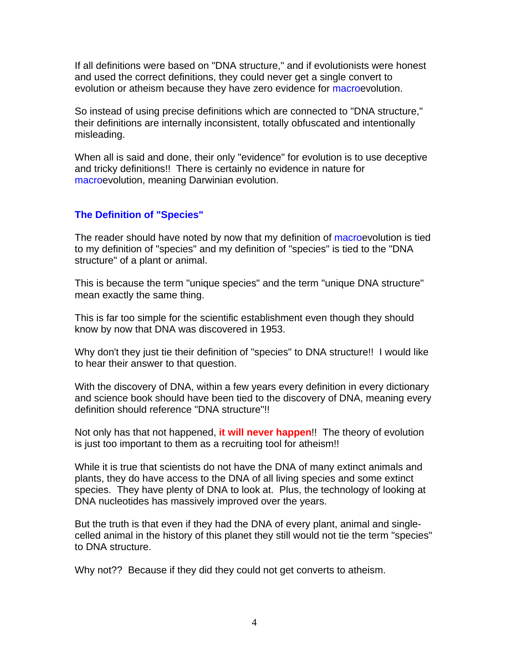If all definitions were based on "DNA structure," and if evolutionists were honest and used the correct definitions, they could never get a single convert to evolution or atheism because they have zero evidence for macroevolution.

So instead of using precise definitions which are connected to "DNA structure," their definitions are internally inconsistent, totally obfuscated and intentionally misleading.

When all is said and done, their only "evidence" for evolution is to use deceptive and tricky definitions!! There is certainly no evidence in nature for macroevolution, meaning Darwinian evolution.

### **The Definition of "Species"**

The reader should have noted by now that my definition of macroevolution is tied to my definition of "species" and my definition of "species" is tied to the "DNA structure" of a plant or animal.

This is because the term "unique species" and the term "unique DNA structure" mean exactly the same thing.

This is far too simple for the scientific establishment even though they should know by now that DNA was discovered in 1953.

Why don't they just tie their definition of "species" to DNA structure!! I would like to hear their answer to that question.

With the discovery of DNA, within a few years every definition in every dictionary and science book should have been tied to the discovery of DNA, meaning every definition should reference "DNA structure"!!

Not only has that not happened, **it will never happen**!! The theory of evolution is just too important to them as a recruiting tool for atheism!!

While it is true that scientists do not have the DNA of many extinct animals and plants, they do have access to the DNA of all living species and some extinct species. They have plenty of DNA to look at. Plus, the technology of looking at DNA nucleotides has massively improved over the years.

But the truth is that even if they had the DNA of every plant, animal and singlecelled animal in the history of this planet they still would not tie the term "species" to DNA structure.

Why not?? Because if they did they could not get converts to atheism.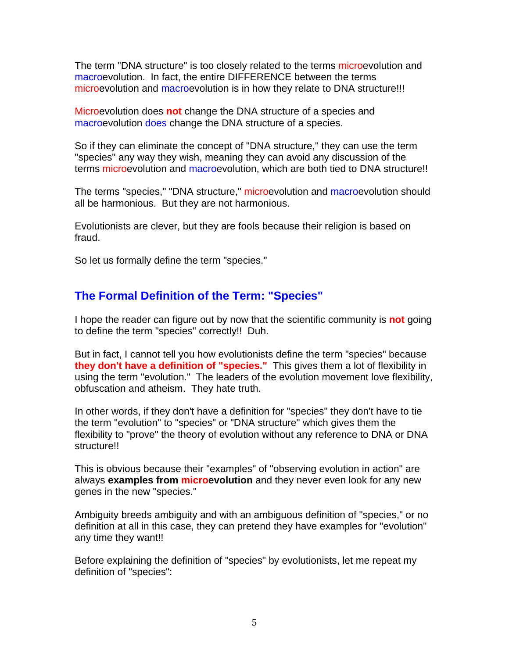The term "DNA structure" is too closely related to the terms microevolution and macroevolution. In fact, the entire DIFFERENCE between the terms microevolution and macroevolution is in how they relate to DNA structure!!!

Microevolution does **not** change the DNA structure of a species and macroevolution does change the DNA structure of a species.

So if they can eliminate the concept of "DNA structure," they can use the term "species" any way they wish, meaning they can avoid any discussion of the terms microevolution and macroevolution, which are both tied to DNA structure!!

The terms "species," "DNA structure," microevolution and macroevolution should all be harmonious. But they are not harmonious.

Evolutionists are clever, but they are fools because their religion is based on fraud.

So let us formally define the term "species."

## **The Formal Definition of the Term: "Species"**

I hope the reader can figure out by now that the scientific community is **not** going to define the term "species" correctly!! Duh.

But in fact, I cannot tell you how evolutionists define the term "species" because **they don't have a definition of "species."** This gives them a lot of flexibility in using the term "evolution." The leaders of the evolution movement love flexibility, obfuscation and atheism. They hate truth.

In other words, if they don't have a definition for "species" they don't have to tie the term "evolution" to "species" or "DNA structure" which gives them the flexibility to "prove" the theory of evolution without any reference to DNA or DNA structure!!

This is obvious because their "examples" of "observing evolution in action" are always **examples from microevolution** and they never even look for any new genes in the new "species."

Ambiguity breeds ambiguity and with an ambiguous definition of "species," or no definition at all in this case, they can pretend they have examples for "evolution" any time they want!!

Before explaining the definition of "species" by evolutionists, let me repeat my definition of "species":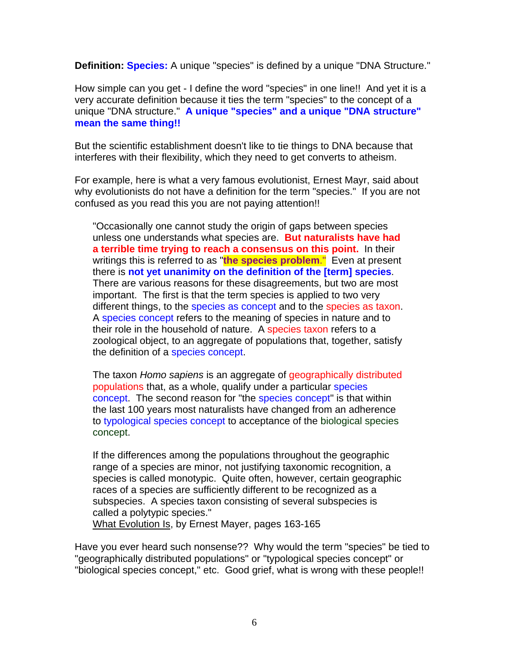**Definition: Species:** A unique "species" is defined by a unique "DNA Structure."

How simple can you get - I define the word "species" in one line!! And yet it is a very accurate definition because it ties the term "species" to the concept of a unique "DNA structure." **A unique "species" and a unique "DNA structure" mean the same thing!!**

But the scientific establishment doesn't like to tie things to DNA because that interferes with their flexibility, which they need to get converts to atheism.

For example, here is what a very famous evolutionist, Ernest Mayr, said about why evolutionists do not have a definition for the term "species." If you are not confused as you read this you are not paying attention!!

"Occasionally one cannot study the origin of gaps between species unless one understands what species are. **But naturalists have had a terrible time trying to reach a consensus on this point.** In their writings this is referred to as "**the species problem**." Even at present there is **not yet unanimity on the definition of the [term] species**. There are various reasons for these disagreements, but two are most important. The first is that the term species is applied to two very different things, to the species as concept and to the species as taxon. A species concept refers to the meaning of species in nature and to their role in the household of nature. A species taxon refers to a zoological object, to an aggregate of populations that, together, satisfy the definition of a species concept.

The taxon *Homo sapiens* is an aggregate of geographically distributed populations that, as a whole, qualify under a particular species concept. The second reason for "the species concept" is that within the last 100 years most naturalists have changed from an adherence to typological species concept to acceptance of the biological species concept.

If the differences among the populations throughout the geographic range of a species are minor, not justifying taxonomic recognition, a species is called monotypic. Quite often, however, certain geographic races of a species are sufficiently different to be recognized as a subspecies. A species taxon consisting of several subspecies is called a polytypic species."

What Evolution Is, by Ernest Mayer, pages 163-165

Have you ever heard such nonsense?? Why would the term "species" be tied to "geographically distributed populations" or "typological species concept" or "biological species concept," etc. Good grief, what is wrong with these people!!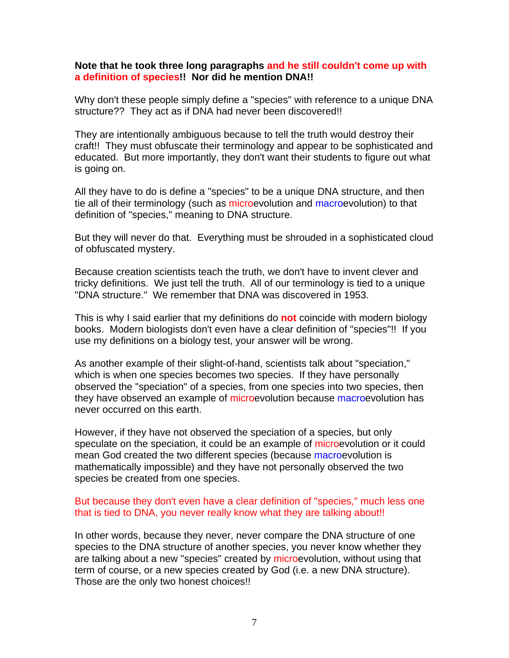### **Note that he took three long paragraphs and he still couldn't come up with a definition of species!! Nor did he mention DNA!!**

Why don't these people simply define a "species" with reference to a unique DNA structure?? They act as if DNA had never been discovered!!

They are intentionally ambiguous because to tell the truth would destroy their craft!! They must obfuscate their terminology and appear to be sophisticated and educated. But more importantly, they don't want their students to figure out what is going on.

All they have to do is define a "species" to be a unique DNA structure, and then tie all of their terminology (such as microevolution and macroevolution) to that definition of "species," meaning to DNA structure.

But they will never do that. Everything must be shrouded in a sophisticated cloud of obfuscated mystery.

Because creation scientists teach the truth, we don't have to invent clever and tricky definitions. We just tell the truth. All of our terminology is tied to a unique "DNA structure." We remember that DNA was discovered in 1953.

This is why I said earlier that my definitions do **not** coincide with modern biology books. Modern biologists don't even have a clear definition of "species"!! If you use my definitions on a biology test, your answer will be wrong.

As another example of their slight-of-hand, scientists talk about "speciation," which is when one species becomes two species. If they have personally observed the "speciation" of a species, from one species into two species, then they have observed an example of microevolution because macroevolution has never occurred on this earth.

However, if they have not observed the speciation of a species, but only speculate on the speciation, it could be an example of microevolution or it could mean God created the two different species (because macroevolution is mathematically impossible) and they have not personally observed the two species be created from one species.

### But because they don't even have a clear definition of "species," much less one that is tied to DNA, you never really know what they are talking about!!

In other words, because they never, never compare the DNA structure of one species to the DNA structure of another species, you never know whether they are talking about a new "species" created by microevolution, without using that term of course, or a new species created by God (i.e. a new DNA structure). Those are the only two honest choices!!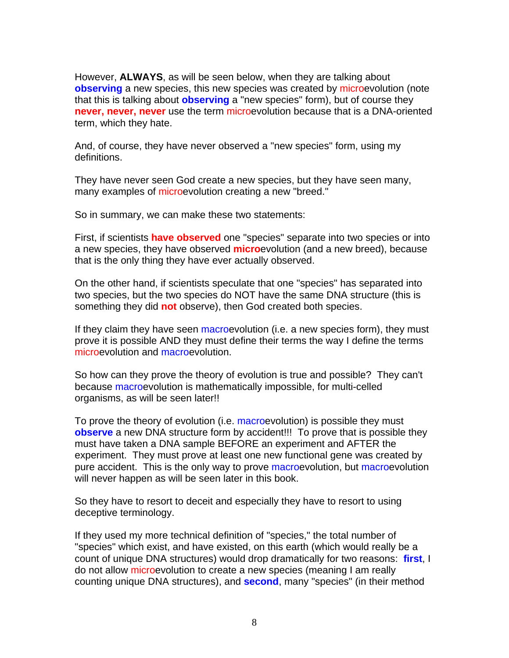However, **ALWAYS**, as will be seen below, when they are talking about **observing** a new species, this new species was created by microevolution (note that this is talking about **observing** a "new species" form), but of course they **never, never, never** use the term microevolution because that is a DNA-oriented term, which they hate.

And, of course, they have never observed a "new species" form, using my definitions.

They have never seen God create a new species, but they have seen many, many examples of microevolution creating a new "breed."

So in summary, we can make these two statements:

First, if scientists **have observed** one "species" separate into two species or into a new species, they have observed **micro**evolution (and a new breed), because that is the only thing they have ever actually observed.

On the other hand, if scientists speculate that one "species" has separated into two species, but the two species do NOT have the same DNA structure (this is something they did **not** observe), then God created both species.

If they claim they have seen macroevolution (i.e. a new species form), they must prove it is possible AND they must define their terms the way I define the terms microevolution and macroevolution.

So how can they prove the theory of evolution is true and possible? They can't because macroevolution is mathematically impossible, for multi-celled organisms, as will be seen later!!

To prove the theory of evolution (i.e. macroevolution) is possible they must **observe** a new DNA structure form by accident!!! To prove that is possible they must have taken a DNA sample BEFORE an experiment and AFTER the experiment. They must prove at least one new functional gene was created by pure accident. This is the only way to prove macroevolution, but macroevolution will never happen as will be seen later in this book.

So they have to resort to deceit and especially they have to resort to using deceptive terminology.

If they used my more technical definition of "species," the total number of "species" which exist, and have existed, on this earth (which would really be a count of unique DNA structures) would drop dramatically for two reasons: **first**, I do not allow microevolution to create a new species (meaning I am really counting unique DNA structures), and **second**, many "species" (in their method